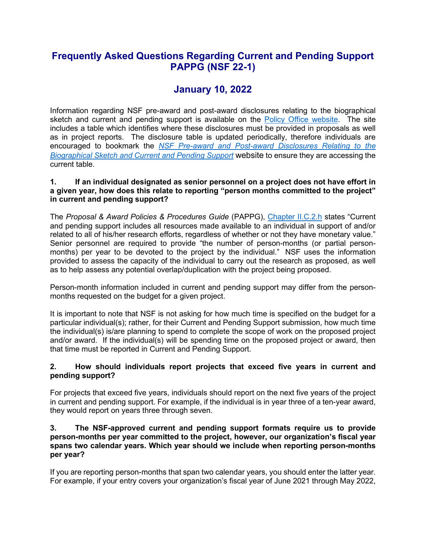## **Frequently Asked Questions Regarding Current and Pending Support PAPPG (NSF 22-1)**

# **January 10, 2022**

Information regarding NSF pre-award and post-award disclosures relating to the biographical sketch and current and pending support is available on the [Policy Office website.](https://www.nsf.gov/bfa/dias/policy/index.jsp) The site includes a table which identifies where these disclosures must be provided in proposals as well as in project reports. The disclosure table is updated periodically, therefore individuals are encouraged to bookmark the *[NSF Pre-award and Post-award Disclosures Relating to the](https://www.nsf.gov/bfa/dias/policy/disclosures_table.jsp)  [Biographical Sketch and Current and Pending Support](https://www.nsf.gov/bfa/dias/policy/disclosures_table.jsp)* website to ensure they are accessing the current table.

#### **1. If an individual designated as senior personnel on a project does not have effort in a given year, how does this relate to reporting "person months committed to the project" in current and pending support?**

The *Proposal & Award Policies & Procedures Guide* (PAPPG), [Chapter II.C.2.h](https://www.nsf.gov/pubs/policydocs/pappg22_1/pappg_2.jsp#IIC2h) states "Current and pending support includes all resources made available to an individual in support of and/or related to all of his/her research efforts, regardless of whether or not they have monetary value." Senior personnel are required to provide "the number of person-months (or partial personmonths) per year to be devoted to the project by the individual." NSF uses the information provided to assess the capacity of the individual to carry out the research as proposed, as well as to help assess any potential overlap/duplication with the project being proposed.

Person-month information included in current and pending support may differ from the personmonths requested on the budget for a given project.

It is important to note that NSF is not asking for how much time is specified on the budget for a particular individual(s); rather, for their Current and Pending Support submission, how much time the individual(s) is/are planning to spend to complete the scope of work on the proposed project and/or award. If the individual(s) will be spending time on the proposed project or award, then that time must be reported in Current and Pending Support.

#### **2. How should individuals report projects that exceed five years in current and pending support?**

For projects that exceed five years, individuals should report on the next five years of the project in current and pending support. For example, if the individual is in year three of a ten-year award, they would report on years three through seven.

#### **3. The NSF-approved current and pending support formats require us to provide person-months per year committed to the project, however, our organization's fiscal year spans two calendar years. Which year should we include when reporting person-months per year?**

If you are reporting person-months that span two calendar years, you should enter the latter year. For example, if your entry covers your organization's fiscal year of June 2021 through May 2022,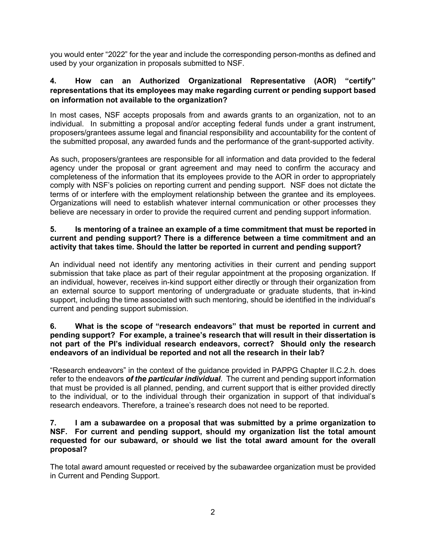you would enter "2022" for the year and include the corresponding person-months as defined and used by your organization in proposals submitted to NSF.

## **4. How can an Authorized Organizational Representative (AOR) "certify" representations that its employees may make regarding current or pending support based on information not available to the organization?**

In most cases, NSF accepts proposals from and awards grants to an organization, not to an individual. In submitting a proposal and/or accepting federal funds under a grant instrument, proposers/grantees assume legal and financial responsibility and accountability for the content of the submitted proposal, any awarded funds and the performance of the grant-supported activity.

As such, proposers/grantees are responsible for all information and data provided to the federal agency under the proposal or grant agreement and may need to confirm the accuracy and completeness of the information that its employees provide to the AOR in order to appropriately comply with NSF's policies on reporting current and pending support. NSF does not dictate the terms of or interfere with the employment relationship between the grantee and its employees. Organizations will need to establish whatever internal communication or other processes they believe are necessary in order to provide the required current and pending support information.

#### **5. Is mentoring of a trainee an example of a time commitment that must be reported in current and pending support? There is a difference between a time commitment and an activity that takes time. Should the latter be reported in current and pending support?**

An individual need not identify any mentoring activities in their current and pending support submission that take place as part of their regular appointment at the proposing organization. If an individual, however, receives in-kind support either directly or through their organization from an external source to support mentoring of undergraduate or graduate students, that in-kind support, including the time associated with such mentoring, should be identified in the individual's current and pending support submission.

#### **6. What is the scope of "research endeavors" that must be reported in current and pending support? For example, a trainee's research that will result in their dissertation is not part of the PI's individual research endeavors, correct? Should only the research endeavors of an individual be reported and not all the research in their lab?**

"Research endeavors" in the context of the guidance provided in PAPPG Chapter II.C.2.h. does refer to the endeavors *of the particular individual*. The current and pending support information that must be provided is all planned, pending, and current support that is either provided directly to the individual, or to the individual through their organization in support of that individual's research endeavors. Therefore, a trainee's research does not need to be reported.

#### **7. I am a subawardee on a proposal that was submitted by a prime organization to NSF. For current and pending support, should my organization list the total amount requested for our subaward, or should we list the total award amount for the overall proposal?**

The total award amount requested or received by the subawardee organization must be provided in Current and Pending Support.